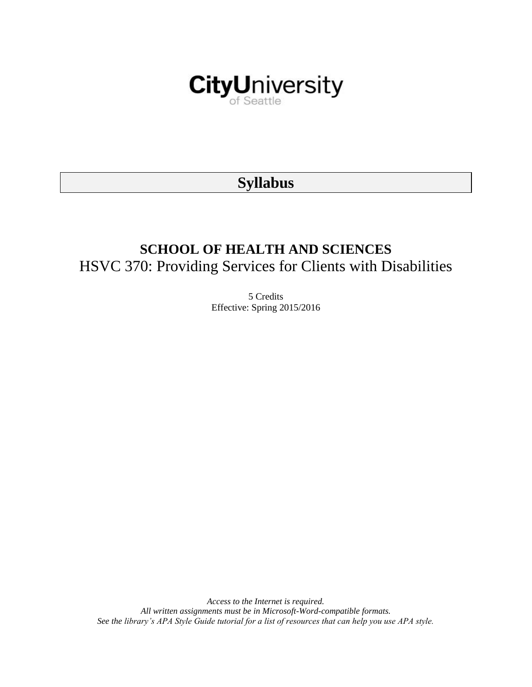

# **Syllabus**

# **SCHOOL OF HEALTH AND SCIENCES** HSVC 370: Providing Services for Clients with Disabilities

5 Credits Effective: Spring 2015/2016

*Access to the Internet is required. All written assignments must be in Microsoft-Word-compatible formats. See the library's APA Style Guide tutorial for a list of resources that can help you use APA style.*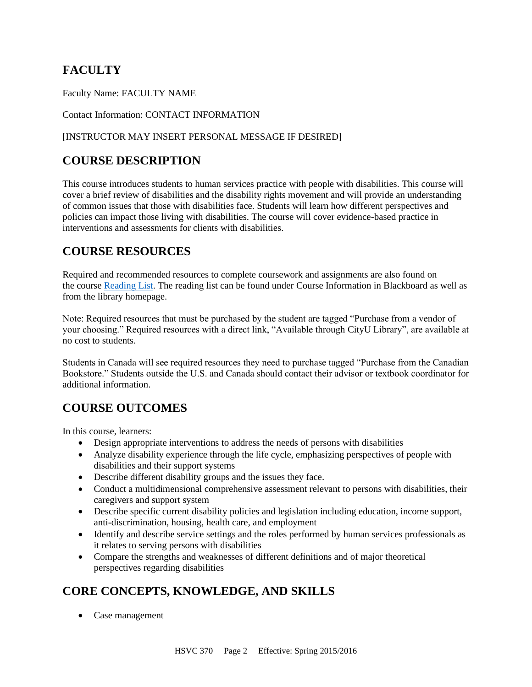# **FACULTY**

Faculty Name: FACULTY NAME

#### Contact Information: CONTACT INFORMATION

#### [INSTRUCTOR MAY INSERT PERSONAL MESSAGE IF DESIRED]

# **COURSE DESCRIPTION**

This course introduces students to human services practice with people with disabilities. This course will cover a brief review of disabilities and the disability rights movement and will provide an understanding of common issues that those with disabilities face. Students will learn how different perspectives and policies can impact those living with disabilities. The course will cover evidence-based practice in interventions and assessments for clients with disabilities.

# **COURSE RESOURCES**

Required and recommended resources to complete coursework and assignments are also found on the course [Reading List.](https://nam03.safelinks.protection.outlook.com/?url=https%3A%2F%2Fcityu.alma.exlibrisgroup.com%2Fleganto%2Flogin%3Fauth%3DSAML&data=04%7C01%7CMMara%40cityu.edu%7C70673ce0fe0144040eda08d87472e204%7Cb3fa96d9f5154662add763d854e39e63%7C1%7C0%7C637387384066198115%7CUnknown%7CTWFpbGZsb3d8eyJWIjoiMC4wLjAwMDAiLCJQIjoiV2luMzIiLCJBTiI6Ik1haWwiLCJXVCI6Mn0%3D%7C1000&sdata=JbwP%2Fm5Q%2BMgIUWa%2FXceos%2BoiLv0DX%2B%2FL%2BNGNMbX9P8E%3D&reserved=0) The reading list can be found under Course Information in Blackboard as well as from the library homepage.

Note: Required resources that must be purchased by the student are tagged "Purchase from a vendor of your choosing." Required resources with a direct link, "Available through CityU Library", are available at no cost to students.

Students in Canada will see required resources they need to purchase tagged "Purchase from the Canadian Bookstore." Students outside the U.S. and Canada should contact their advisor or textbook coordinator for additional information.

# **COURSE OUTCOMES**

In this course, learners:

- Design appropriate interventions to address the needs of persons with disabilities
- Analyze disability experience through the life cycle, emphasizing perspectives of people with disabilities and their support systems
- Describe different disability groups and the issues they face.
- Conduct a multidimensional comprehensive assessment relevant to persons with disabilities, their caregivers and support system
- Describe specific current disability policies and legislation including education, income support, anti-discrimination, housing, health care, and employment
- Identify and describe service settings and the roles performed by human services professionals as it relates to serving persons with disabilities
- Compare the strengths and weaknesses of different definitions and of major theoretical perspectives regarding disabilities

# **CORE CONCEPTS, KNOWLEDGE, AND SKILLS**

• Case management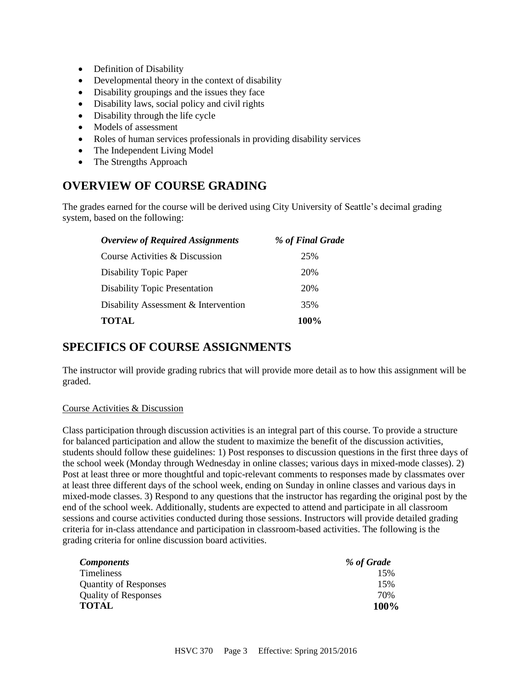- Definition of Disability
- Developmental theory in the context of disability
- Disability groupings and the issues they face
- Disability laws, social policy and civil rights
- Disability through the life cycle
- Models of assessment
- Roles of human services professionals in providing disability services
- The Independent Living Model
- The Strengths Approach

# **OVERVIEW OF COURSE GRADING**

The grades earned for the course will be derived using City University of Seattle's decimal grading system, based on the following:

| <b>Overview of Required Assignments</b> | % of Final Grade |
|-----------------------------------------|------------------|
| Course Activities & Discussion          | 25%              |
| Disability Topic Paper                  | 20%              |
| <b>Disability Topic Presentation</b>    | 20%              |
| Disability Assessment & Intervention    | 35%              |
| <b>TOTAL</b>                            | 100%             |

# **SPECIFICS OF COURSE ASSIGNMENTS**

The instructor will provide grading rubrics that will provide more detail as to how this assignment will be graded.

#### Course Activities & Discussion

Class participation through discussion activities is an integral part of this course. To provide a structure for balanced participation and allow the student to maximize the benefit of the discussion activities, students should follow these guidelines: 1) Post responses to discussion questions in the first three days of the school week (Monday through Wednesday in online classes; various days in mixed-mode classes). 2) Post at least three or more thoughtful and topic-relevant comments to responses made by classmates over at least three different days of the school week, ending on Sunday in online classes and various days in mixed-mode classes. 3) Respond to any questions that the instructor has regarding the original post by the end of the school week. Additionally, students are expected to attend and participate in all classroom sessions and course activities conducted during those sessions. Instructors will provide detailed grading criteria for in-class attendance and participation in classroom-based activities. The following is the grading criteria for online discussion board activities.

| <i>Components</i>            | % of Grade |
|------------------------------|------------|
| Timeliness                   | 15%        |
| <b>Quantity of Responses</b> | 15%        |
| <b>Quality of Responses</b>  | 70%        |
| <b>TOTAL</b>                 | 100%       |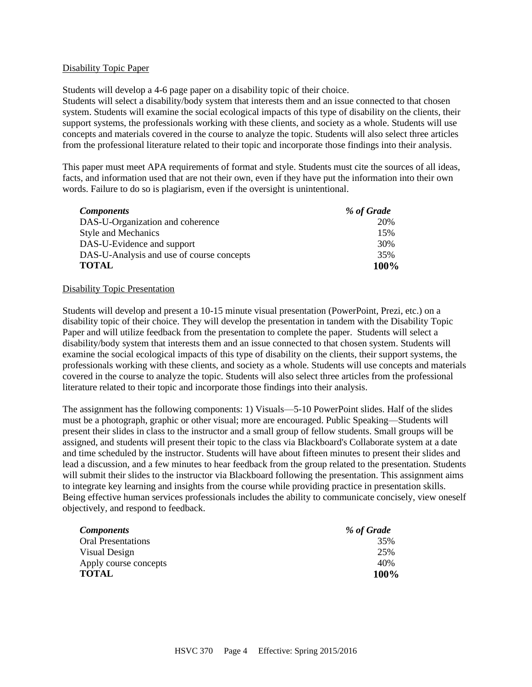#### Disability Topic Paper

Students will develop a 4-6 page paper on a disability topic of their choice.

Students will select a disability/body system that interests them and an issue connected to that chosen system. Students will examine the social ecological impacts of this type of disability on the clients, their support systems, the professionals working with these clients, and society as a whole. Students will use concepts and materials covered in the course to analyze the topic. Students will also select three articles from the professional literature related to their topic and incorporate those findings into their analysis.

This paper must meet APA requirements of format and style. Students must cite the sources of all ideas, facts, and information used that are not their own, even if they have put the information into their own words. Failure to do so is plagiarism, even if the oversight is unintentional.

| <b>Components</b>                         | % of Grade |
|-------------------------------------------|------------|
| DAS-U-Organization and coherence          | 20%        |
| <b>Style and Mechanics</b>                | 15%        |
| DAS-U-Evidence and support                | 30%        |
| DAS-U-Analysis and use of course concepts | 35%        |
| <b>TOTAL</b>                              | 100%       |

#### Disability Topic Presentation

Students will develop and present a 10-15 minute visual presentation (PowerPoint, Prezi, etc.) on a disability topic of their choice. They will develop the presentation in tandem with the Disability Topic Paper and will utilize feedback from the presentation to complete the paper. Students will select a disability/body system that interests them and an issue connected to that chosen system. Students will examine the social ecological impacts of this type of disability on the clients, their support systems, the professionals working with these clients, and society as a whole. Students will use concepts and materials covered in the course to analyze the topic. Students will also select three articles from the professional literature related to their topic and incorporate those findings into their analysis.

The assignment has the following components: 1) Visuals—5-10 PowerPoint slides. Half of the slides must be a photograph, graphic or other visual; more are encouraged. Public Speaking—Students will present their slides in class to the instructor and a small group of fellow students. Small groups will be assigned, and students will present their topic to the class via Blackboard's Collaborate system at a date and time scheduled by the instructor. Students will have about fifteen minutes to present their slides and lead a discussion, and a few minutes to hear feedback from the group related to the presentation. Students will submit their slides to the instructor via Blackboard following the presentation. This assignment aims to integrate key learning and insights from the course while providing practice in presentation skills. Being effective human services professionals includes the ability to communicate concisely, view oneself objectively, and respond to feedback.

| <b>Components</b>         | % of Grade |
|---------------------------|------------|
| <b>Oral Presentations</b> | 35%        |
| Visual Design             | 25%        |
| Apply course concepts     | 40%        |
| <b>TOTAL</b>              | 100%       |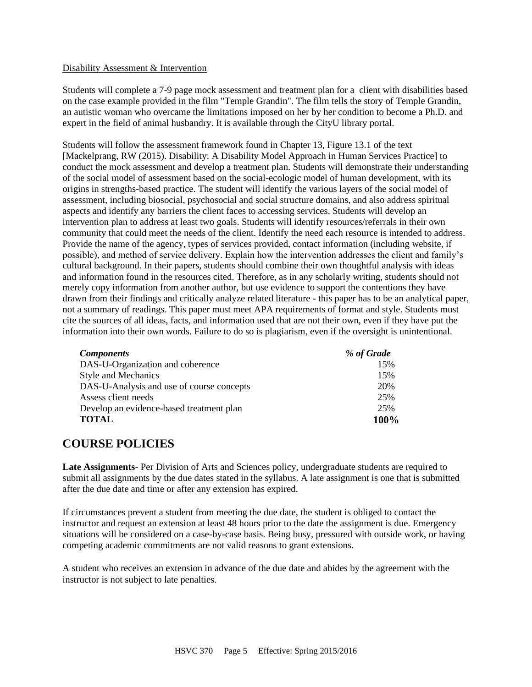#### Disability Assessment & Intervention

Students will complete a 7-9 page mock assessment and treatment plan for a client with disabilities based on the case example provided in the film "Temple Grandin". The film tells the story of Temple Grandin, an autistic woman who overcame the limitations imposed on her by her condition to become a Ph.D. and expert in the field of animal husbandry. It is available through the CityU library portal.

Students will follow the assessment framework found in Chapter 13, Figure 13.1 of the text [Mackelprang, RW (2015). Disability: A Disability Model Approach in Human Services Practice] to conduct the mock assessment and develop a treatment plan. Students will demonstrate their understanding of the social model of assessment based on the social-ecologic model of human development, with its origins in strengths-based practice. The student will identify the various layers of the social model of assessment, including biosocial, psychosocial and social structure domains, and also address spiritual aspects and identify any barriers the client faces to accessing services. Students will develop an intervention plan to address at least two goals. Students will identify resources/referrals in their own community that could meet the needs of the client. Identify the need each resource is intended to address. Provide the name of the agency, types of services provided, contact information (including website, if possible), and method of service delivery. Explain how the intervention addresses the client and family's cultural background. In their papers, students should combine their own thoughtful analysis with ideas and information found in the resources cited. Therefore, as in any scholarly writing, students should not merely copy information from another author, but use evidence to support the contentions they have drawn from their findings and critically analyze related literature - this paper has to be an analytical paper, not a summary of readings. This paper must meet APA requirements of format and style. Students must cite the sources of all ideas, facts, and information used that are not their own, even if they have put the information into their own words. Failure to do so is plagiarism, even if the oversight is unintentional.

| <b>Components</b>                         | % of Grade |
|-------------------------------------------|------------|
| DAS-U-Organization and coherence          | 15%        |
| <b>Style and Mechanics</b>                | 15%        |
| DAS-U-Analysis and use of course concepts | 20%        |
| Assess client needs                       | 25%        |
| Develop an evidence-based treatment plan  | 25%        |
| <b>TOTAL</b>                              | 100%       |

## **COURSE POLICIES**

**Late Assignments**- Per Division of Arts and Sciences policy, undergraduate students are required to submit all assignments by the due dates stated in the syllabus. A late assignment is one that is submitted after the due date and time or after any extension has expired.

If circumstances prevent a student from meeting the due date, the student is obliged to contact the instructor and request an extension at least 48 hours prior to the date the assignment is due. Emergency situations will be considered on a case-by-case basis. Being busy, pressured with outside work, or having competing academic commitments are not valid reasons to grant extensions.

A student who receives an extension in advance of the due date and abides by the agreement with the instructor is not subject to late penalties.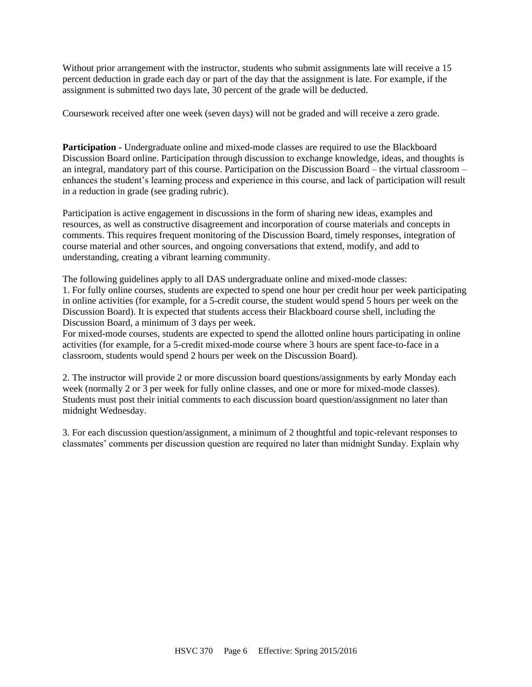Without prior arrangement with the instructor, students who submit assignments late will receive a 15 percent deduction in grade each day or part of the day that the assignment is late. For example, if the assignment is submitted two days late, 30 percent of the grade will be deducted.

Coursework received after one week (seven days) will not be graded and will receive a zero grade.

**Participation -** Undergraduate online and mixed-mode classes are required to use the Blackboard Discussion Board online. Participation through discussion to exchange knowledge, ideas, and thoughts is an integral, mandatory part of this course. Participation on the Discussion Board – the virtual classroom – enhances the student's learning process and experience in this course, and lack of participation will result in a reduction in grade (see grading rubric).

Participation is active engagement in discussions in the form of sharing new ideas, examples and resources, as well as constructive disagreement and incorporation of course materials and concepts in comments. This requires frequent monitoring of the Discussion Board, timely responses, integration of course material and other sources, and ongoing conversations that extend, modify, and add to understanding, creating a vibrant learning community.

The following guidelines apply to all DAS undergraduate online and mixed-mode classes: 1. For fully online courses, students are expected to spend one hour per credit hour per week participating in online activities (for example, for a 5-credit course, the student would spend 5 hours per week on the Discussion Board). It is expected that students access their Blackboard course shell, including the Discussion Board, a minimum of 3 days per week.

For mixed-mode courses, students are expected to spend the allotted online hours participating in online activities (for example, for a 5-credit mixed-mode course where 3 hours are spent face-to-face in a classroom, students would spend 2 hours per week on the Discussion Board).

2. The instructor will provide 2 or more discussion board questions/assignments by early Monday each week (normally 2 or 3 per week for fully online classes, and one or more for mixed-mode classes). Students must post their initial comments to each discussion board question/assignment no later than midnight Wednesday.

3. For each discussion question/assignment, a minimum of 2 thoughtful and topic-relevant responses to classmates' comments per discussion question are required no later than midnight Sunday. Explain why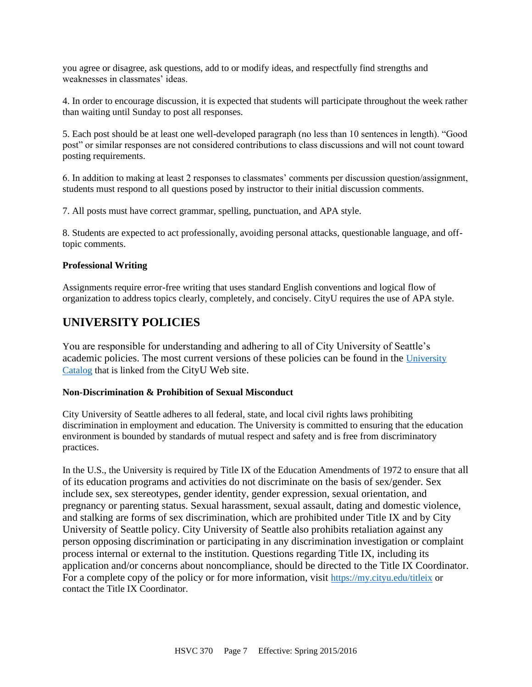you agree or disagree, ask questions, add to or modify ideas, and respectfully find strengths and weaknesses in classmates' ideas.

4. In order to encourage discussion, it is expected that students will participate throughout the week rather than waiting until Sunday to post all responses.

5. Each post should be at least one well-developed paragraph (no less than 10 sentences in length). "Good post" or similar responses are not considered contributions to class discussions and will not count toward posting requirements.

6. In addition to making at least 2 responses to classmates' comments per discussion question/assignment, students must respond to all questions posed by instructor to their initial discussion comments.

7. All posts must have correct grammar, spelling, punctuation, and APA style.

8. Students are expected to act professionally, avoiding personal attacks, questionable language, and offtopic comments.

#### **Professional Writing**

Assignments require error-free writing that uses standard English conventions and logical flow of organization to address topics clearly, completely, and concisely. CityU requires the use of APA style.

### **UNIVERSITY POLICIES**

You are responsible for understanding and adhering to all of City University of Seattle's academic policies. The most current versions of these policies can be found in the [University](https://www.cityu.edu/catalog/)  [Catalog](https://www.cityu.edu/catalog/) that is linked from the CityU Web site.

#### **Non-Discrimination & Prohibition of Sexual Misconduct**

City University of Seattle adheres to all federal, state, and local civil rights laws prohibiting discrimination in employment and education. The University is committed to ensuring that the education environment is bounded by standards of mutual respect and safety and is free from discriminatory practices.

In the U.S., the University is required by Title IX of the Education Amendments of 1972 to ensure that all of its education programs and activities do not discriminate on the basis of sex/gender. Sex include sex, sex stereotypes, gender identity, gender expression, sexual orientation, and pregnancy or parenting status. Sexual harassment, sexual assault, dating and domestic violence, and stalking are forms of sex discrimination, which are prohibited under Title IX and by City University of Seattle policy. City University of Seattle also prohibits retaliation against any person opposing discrimination or participating in any discrimination investigation or complaint process internal or external to the institution. Questions regarding Title IX, including its application and/or concerns about noncompliance, should be directed to the Title IX Coordinator. For a complete copy of the policy or for more information, visit <https://my.cityu.edu/titleix> or contact the Title IX Coordinator.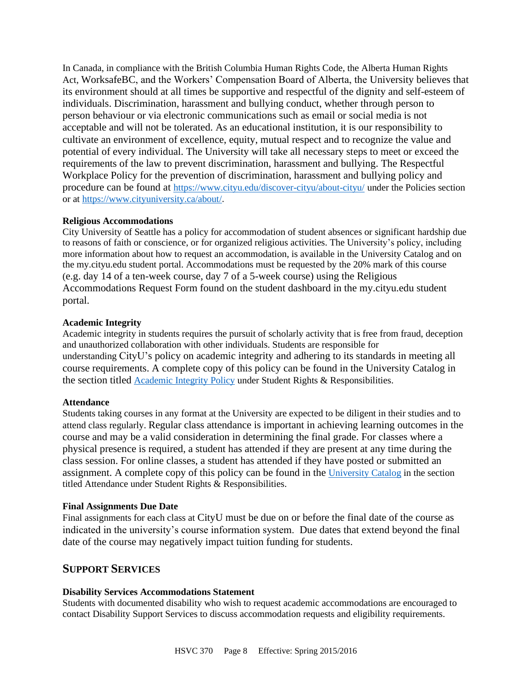In Canada, in compliance with the British Columbia Human Rights Code, the Alberta Human Rights Act, WorksafeBC, and the Workers' Compensation Board of Alberta, the University believes that its environment should at all times be supportive and respectful of the dignity and self-esteem of individuals. Discrimination, harassment and bullying conduct, whether through person to person behaviour or via electronic communications such as email or social media is not acceptable and will not be tolerated. As an educational institution, it is our responsibility to cultivate an environment of excellence, equity, mutual respect and to recognize the value and potential of every individual. The University will take all necessary steps to meet or exceed the requirements of the law to prevent discrimination, harassment and bullying. The Respectful Workplace Policy for the prevention of discrimination, harassment and bullying policy and procedure can be found at <https://www.cityu.edu/discover-cityu/about-cityu/> under the Policies section or at <https://www.cityuniversity.ca/about/>.

#### **Religious Accommodations**

City University of Seattle has a policy for accommodation of student absences or significant hardship due to reasons of faith or conscience, or for organized religious activities. The University's policy, including more information about how to request an accommodation, is available in the University Catalog and on the my.cityu.edu student portal. Accommodations must be requested by the 20% mark of this course (e.g. day 14 of a ten-week course, day 7 of a 5-week course) using the Religious Accommodations Request Form found on the student dashboard in the my.cityu.edu student portal.

#### **Academic Integrity**

Academic integrity in students requires the pursuit of scholarly activity that is free from fraud, deception and unauthorized collaboration with other individuals. Students are responsible for understanding CityU's policy on academic integrity and adhering to its standards in meeting all course requirements. A complete copy of this policy can be found in the University Catalog in the section titled [Academic Integrity Policy](https://www.cityu.edu/catalog/;) under Student Rights & Responsibilities.

#### **Attendance**

Students taking courses in any format at the University are expected to be diligent in their studies and to attend class regularly. Regular class attendance is important in achieving learning outcomes in the course and may be a valid consideration in determining the final grade. For classes where a physical presence is required, a student has attended if they are present at any time during the class session. For online classes, a student has attended if they have posted or submitted an assignment. A complete copy of this policy can be found in the [University Catalog](https://www.cityu.edu/catalog/;) in the section titled Attendance under Student Rights & Responsibilities.

#### **Final Assignments Due Date**

Final assignments for each class at CityU must be due on or before the final date of the course as indicated in the university's course information system. Due dates that extend beyond the final date of the course may negatively impact tuition funding for students.

### **SUPPORT SERVICES**

#### **Disability Services Accommodations Statement**

Students with documented disability who wish to request academic accommodations are encouraged to contact Disability Support Services to discuss accommodation requests and eligibility requirements.